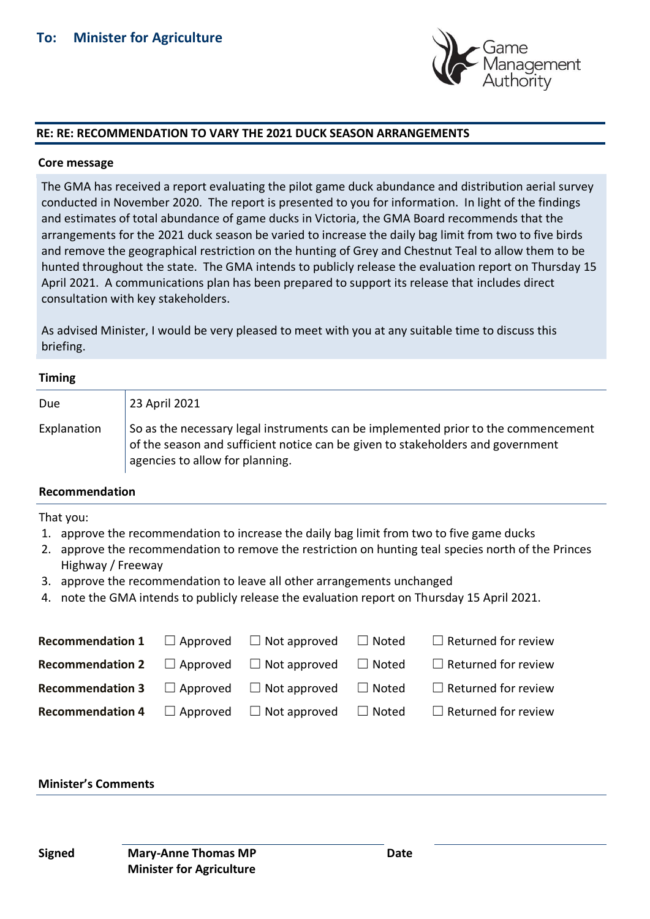

#### **RE: RE: RECOMMENDATION TO VARY THE 2021 DUCK SEASON ARRANGEMENTS**

#### **Core message**

The GMA has received a report evaluating the pilot game duck abundance and distribution aerial survey conducted in November 2020. The report is presented to you for information. In light of the findings and estimates of total abundance of game ducks in Victoria, the GMA Board recommends that the arrangements for the 2021 duck season be varied to increase the daily bag limit from two to five birds and remove the geographical restriction on the hunting of Grey and Chestnut Teal to allow them to be hunted throughout the state. The GMA intends to publicly release the evaluation report on Thursday 15 April 2021. A communications plan has been prepared to support its release that includes direct consultation with key stakeholders.

As advised Minister, I would be very pleased to meet with you at any suitable time to discuss this briefing.

#### **Timing**

| <b>Due</b>  | 23 April 2021                                                                                                                                                                                            |
|-------------|----------------------------------------------------------------------------------------------------------------------------------------------------------------------------------------------------------|
| Explanation | So as the necessary legal instruments can be implemented prior to the commencement<br>of the season and sufficient notice can be given to stakeholders and government<br>agencies to allow for planning. |

#### **Recommendation**

That you:

- 1. approve the recommendation to increase the daily bag limit from two to five game ducks
- 2. approve the recommendation to remove the restriction on hunting teal species north of the Princes Highway / Freeway
- 3. approve the recommendation to leave all other arrangements unchanged
- 4. note the GMA intends to publicly release the evaluation report on Thursday 15 April 2021.

| <b>Recommendation 1</b> $\Box$ Approved $\Box$ Not approved $\Box$ Noted |  | $\Box$ Returned for review |
|--------------------------------------------------------------------------|--|----------------------------|
| <b>Recommendation 2</b> $\Box$ Approved $\Box$ Not approved $\Box$ Noted |  | $\Box$ Returned for review |
| <b>Recommendation 3</b> $\Box$ Approved $\Box$ Not approved $\Box$ Noted |  | $\Box$ Returned for review |
| <b>Recommendation 4</b> $\Box$ Approved $\Box$ Not approved $\Box$ Noted |  | $\Box$ Returned for review |

#### **Minister's Comments**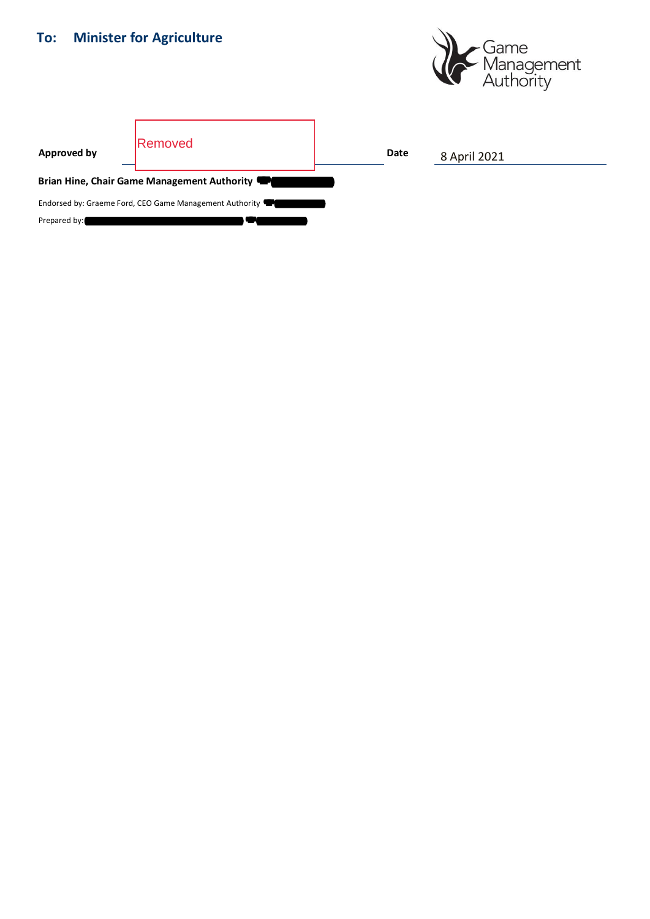# **To: Minister for Agriculture**



| <b>Approved by</b>                                      | <b>IRemoved</b> |  | Date | 8 April 2021 |
|---------------------------------------------------------|-----------------|--|------|--------------|
| Brian Hine, Chair Game Management Authority             |                 |  |      |              |
| Endorsed by: Graeme Ford, CEO Game Management Authority |                 |  |      |              |
| Prepared by:                                            |                 |  |      |              |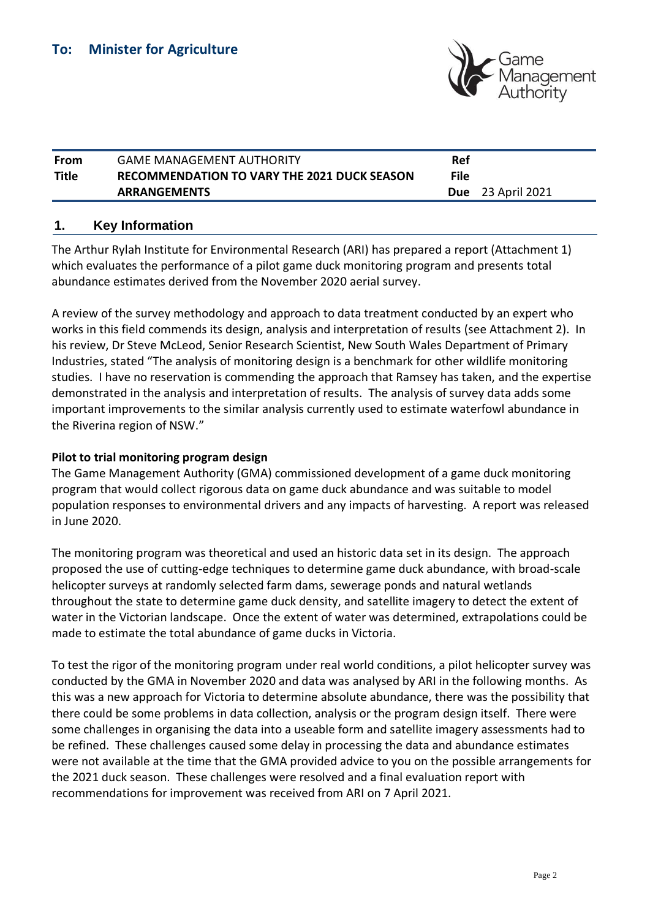

| From  | <b>GAME MANAGEMENT AUTHORITY</b>                   | Ref         |                          |
|-------|----------------------------------------------------|-------------|--------------------------|
| Title | <b>RECOMMENDATION TO VARY THE 2021 DUCK SEASON</b> | <b>File</b> |                          |
|       | <b>ARRANGEMENTS</b>                                |             | <b>Due</b> 23 April 2021 |

## **1. Key Information**

The Arthur Rylah Institute for Environmental Research (ARI) has prepared a report (Attachment 1) which evaluates the performance of a pilot game duck monitoring program and presents total abundance estimates derived from the November 2020 aerial survey.

A review of the survey methodology and approach to data treatment conducted by an expert who works in this field commends its design, analysis and interpretation of results (see Attachment 2). In his review, Dr Steve McLeod, Senior Research Scientist, New South Wales Department of Primary Industries, stated "The analysis of monitoring design is a benchmark for other wildlife monitoring studies. I have no reservation is commending the approach that Ramsey has taken, and the expertise demonstrated in the analysis and interpretation of results. The analysis of survey data adds some important improvements to the similar analysis currently used to estimate waterfowl abundance in the Riverina region of NSW."

## **Pilot to trial monitoring program design**

The Game Management Authority (GMA) commissioned development of a game duck monitoring program that would collect rigorous data on game duck abundance and was suitable to model population responses to environmental drivers and any impacts of harvesting. A report was released in June 2020.

The monitoring program was theoretical and used an historic data set in its design. The approach proposed the use of cutting-edge techniques to determine game duck abundance, with broad-scale helicopter surveys at randomly selected farm dams, sewerage ponds and natural wetlands throughout the state to determine game duck density, and satellite imagery to detect the extent of water in the Victorian landscape. Once the extent of water was determined, extrapolations could be made to estimate the total abundance of game ducks in Victoria.

To test the rigor of the monitoring program under real world conditions, a pilot helicopter survey was conducted by the GMA in November 2020 and data was analysed by ARI in the following months. As this was a new approach for Victoria to determine absolute abundance, there was the possibility that there could be some problems in data collection, analysis or the program design itself. There were some challenges in organising the data into a useable form and satellite imagery assessments had to be refined. These challenges caused some delay in processing the data and abundance estimates were not available at the time that the GMA provided advice to you on the possible arrangements for the 2021 duck season. These challenges were resolved and a final evaluation report with recommendations for improvement was received from ARI on 7 April 2021.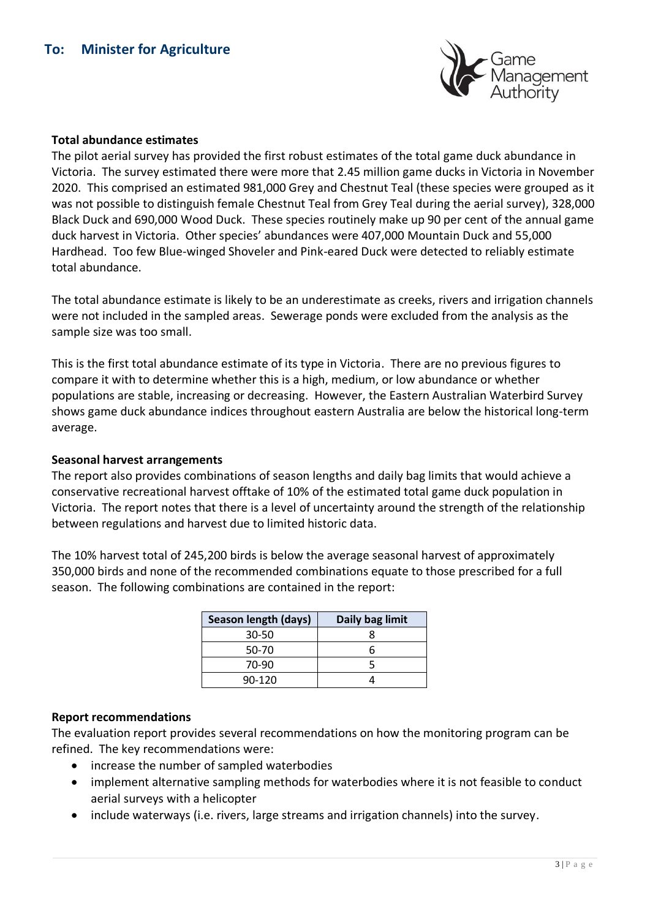

#### **Total abundance estimates**

The pilot aerial survey has provided the first robust estimates of the total game duck abundance in Victoria. The survey estimated there were more that 2.45 million game ducks in Victoria in November 2020. This comprised an estimated 981,000 Grey and Chestnut Teal (these species were grouped as it was not possible to distinguish female Chestnut Teal from Grey Teal during the aerial survey), 328,000 Black Duck and 690,000 Wood Duck. These species routinely make up 90 per cent of the annual game duck harvest in Victoria. Other species' abundances were 407,000 Mountain Duck and 55,000 Hardhead. Too few Blue-winged Shoveler and Pink-eared Duck were detected to reliably estimate total abundance.

The total abundance estimate is likely to be an underestimate as creeks, rivers and irrigation channels were not included in the sampled areas. Sewerage ponds were excluded from the analysis as the sample size was too small.

This is the first total abundance estimate of its type in Victoria. There are no previous figures to compare it with to determine whether this is a high, medium, or low abundance or whether populations are stable, increasing or decreasing. However, the Eastern Australian Waterbird Survey shows game duck abundance indices throughout eastern Australia are below the historical long-term average.

#### **Seasonal harvest arrangements**

The report also provides combinations of season lengths and daily bag limits that would achieve a conservative recreational harvest offtake of 10% of the estimated total game duck population in Victoria. The report notes that there is a level of uncertainty around the strength of the relationship between regulations and harvest due to limited historic data.

The 10% harvest total of 245,200 birds is below the average seasonal harvest of approximately 350,000 birds and none of the recommended combinations equate to those prescribed for a full season. The following combinations are contained in the report:

| Season length (days) | Daily bag limit |
|----------------------|-----------------|
| 30-50                |                 |
| 50-70                | h               |
| 70-90                |                 |
| 90-120               |                 |

## **Report recommendations**

The evaluation report provides several recommendations on how the monitoring program can be refined. The key recommendations were:

- increase the number of sampled waterbodies
- implement alternative sampling methods for waterbodies where it is not feasible to conduct aerial surveys with a helicopter
- include waterways (i.e. rivers, large streams and irrigation channels) into the survey.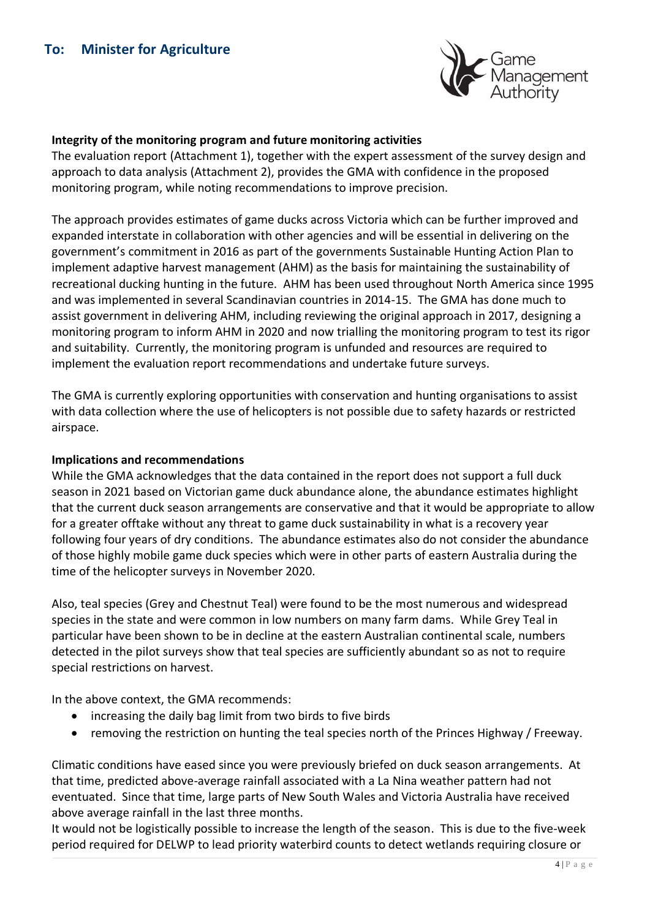

## **Integrity of the monitoring program and future monitoring activities**

The evaluation report (Attachment 1), together with the expert assessment of the survey design and approach to data analysis (Attachment 2), provides the GMA with confidence in the proposed monitoring program, while noting recommendations to improve precision.

The approach provides estimates of game ducks across Victoria which can be further improved and expanded interstate in collaboration with other agencies and will be essential in delivering on the government's commitment in 2016 as part of the governments Sustainable Hunting Action Plan to implement adaptive harvest management (AHM) as the basis for maintaining the sustainability of recreational ducking hunting in the future. AHM has been used throughout North America since 1995 and was implemented in several Scandinavian countries in 2014-15. The GMA has done much to assist government in delivering AHM, including reviewing the original approach in 2017, designing a monitoring program to inform AHM in 2020 and now trialling the monitoring program to test its rigor and suitability. Currently, the monitoring program is unfunded and resources are required to implement the evaluation report recommendations and undertake future surveys.

The GMA is currently exploring opportunities with conservation and hunting organisations to assist with data collection where the use of helicopters is not possible due to safety hazards or restricted airspace.

## **Implications and recommendations**

While the GMA acknowledges that the data contained in the report does not support a full duck season in 2021 based on Victorian game duck abundance alone, the abundance estimates highlight that the current duck season arrangements are conservative and that it would be appropriate to allow for a greater offtake without any threat to game duck sustainability in what is a recovery year following four years of dry conditions. The abundance estimates also do not consider the abundance of those highly mobile game duck species which were in other parts of eastern Australia during the time of the helicopter surveys in November 2020.

Also, teal species (Grey and Chestnut Teal) were found to be the most numerous and widespread species in the state and were common in low numbers on many farm dams. While Grey Teal in particular have been shown to be in decline at the eastern Australian continental scale, numbers detected in the pilot surveys show that teal species are sufficiently abundant so as not to require special restrictions on harvest.

In the above context, the GMA recommends:

- increasing the daily bag limit from two birds to five birds
- removing the restriction on hunting the teal species north of the Princes Highway / Freeway.

Climatic conditions have eased since you were previously briefed on duck season arrangements. At that time, predicted above-average rainfall associated with a La Nina weather pattern had not eventuated. Since that time, large parts of New South Wales and Victoria Australia have received above average rainfall in the last three months.

It would not be logistically possible to increase the length of the season. This is due to the five-week period required for DELWP to lead priority waterbird counts to detect wetlands requiring closure or